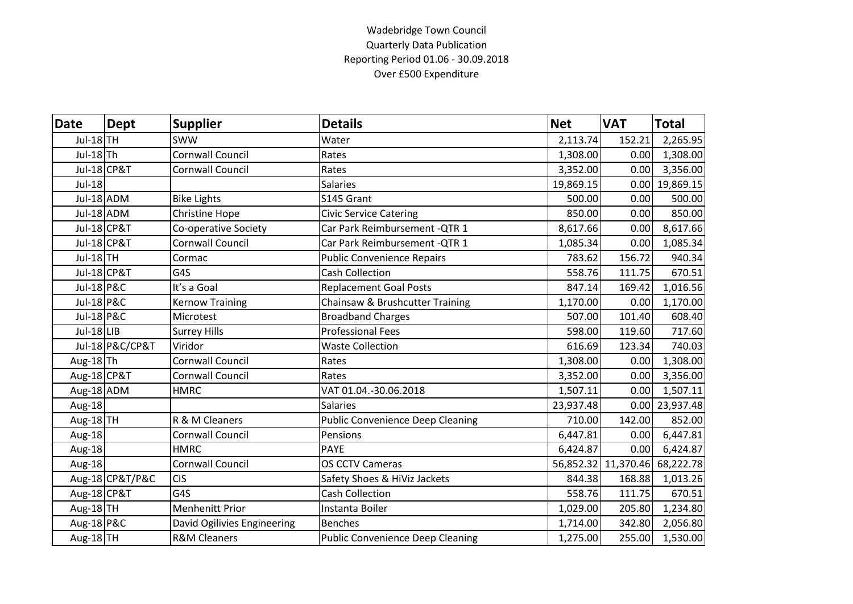## Wadebridge Town Council Quarterly Data Publication Reporting Period 01.06 - 30.09.2018 Over £500 Expenditure

| <b>Date</b>            | Dept            | <b>Supplier</b>             | <b>Details</b>                          | <b>Net</b> | <b>VAT</b>                    | <b>Total</b>     |
|------------------------|-----------------|-----------------------------|-----------------------------------------|------------|-------------------------------|------------------|
| Jul-18 TH              |                 | <b>SWW</b>                  | Water                                   | 2,113.74   | 152.21                        | 2,265.95         |
| Jul-18Th               |                 | Cornwall Council            | Rates                                   | 1,308.00   | 0.00                          | 1,308.00         |
| Jul-18 CP&T            |                 | Cornwall Council            | Rates                                   | 3,352.00   | 0.00                          | 3,356.00         |
| Jul-18                 |                 |                             | <b>Salaries</b>                         | 19,869.15  |                               | $0.00$ 19,869.15 |
| Jul-18 ADM             |                 | <b>Bike Lights</b>          | S145 Grant                              | 500.00     | 0.00                          | 500.00           |
| Jul-18 ADM             |                 | Christine Hope              | <b>Civic Service Catering</b>           | 850.00     | 0.00                          | 850.00           |
| <b>Jul-18 CP&amp;T</b> |                 | Co-operative Society        | Car Park Reimbursement - QTR 1          | 8,617.66   | 0.00                          | 8,617.66         |
| <b>Jul-18 CP&amp;T</b> |                 | Cornwall Council            | Car Park Reimbursement - QTR 1          | 1,085.34   | 0.00                          | 1,085.34         |
| Jul-18TH               |                 | Cormac                      | <b>Public Convenience Repairs</b>       | 783.62     | 156.72                        | 940.34           |
| Jul-18 CP&T            |                 | G4S                         | <b>Cash Collection</b>                  | 558.76     | 111.75                        | 670.51           |
| Jul-18 P&C             |                 | It's a Goal                 | <b>Replacement Goal Posts</b>           | 847.14     | 169.42                        | 1,016.56         |
| <b>Jul-18 P&amp;C</b>  |                 | <b>Kernow Training</b>      | Chainsaw & Brushcutter Training         | 1,170.00   | 0.00                          | 1,170.00         |
| Jul-18 P&C             |                 | Microtest                   | <b>Broadband Charges</b>                | 507.00     | 101.40                        | 608.40           |
| Jul-18 LIB             |                 | <b>Surrey Hills</b>         | <b>Professional Fees</b>                | 598.00     | 119.60                        | 717.60           |
|                        | Jul-18 P&C/CP&T | Viridor                     | <b>Waste Collection</b>                 | 616.69     | 123.34                        | 740.03           |
| Aug-18Th               |                 | Cornwall Council            | Rates                                   | 1,308.00   | 0.00                          | 1,308.00         |
| Aug-18 CP&T            |                 | Cornwall Council            | Rates                                   | 3,352.00   | 0.00                          | 3,356.00         |
| Aug-18 ADM             |                 | <b>HMRC</b>                 | VAT 01.04.-30.06.2018                   | 1,507.11   | 0.00                          | 1,507.11         |
| Aug-18                 |                 |                             | <b>Salaries</b>                         | 23,937.48  |                               | $0.00$ 23,937.48 |
| Aug-18TH               |                 | R & M Cleaners              | <b>Public Convenience Deep Cleaning</b> | 710.00     | 142.00                        | 852.00           |
| Aug-18                 |                 | Cornwall Council            | Pensions                                | 6,447.81   | 0.00                          | 6,447.81         |
| Aug-18                 |                 | <b>HMRC</b>                 | <b>PAYE</b>                             | 6,424.87   | 0.00                          | 6,424.87         |
| Aug-18                 |                 | <b>Cornwall Council</b>     | <b>OS CCTV Cameras</b>                  |            | 56,852.32 11,370.46 68,222.78 |                  |
|                        | Aug-18 CP&T/P&C | <b>CIS</b>                  | Safety Shoes & HiViz Jackets            | 844.38     | 168.88                        | 1,013.26         |
| Aug-18 CP&T            |                 | G4S                         | <b>Cash Collection</b>                  | 558.76     | 111.75                        | 670.51           |
| Aug-18TH               |                 | <b>Menhenitt Prior</b>      | Instanta Boiler                         | 1,029.00   | 205.80                        | 1,234.80         |
| Aug-18 P&C             |                 | David Ogilivies Engineering | <b>Benches</b>                          | 1,714.00   | 342.80                        | 2,056.80         |
| Aug-18TH               |                 | <b>R&amp;M Cleaners</b>     | <b>Public Convenience Deep Cleaning</b> | 1,275.00   | 255.00                        | 1,530.00         |